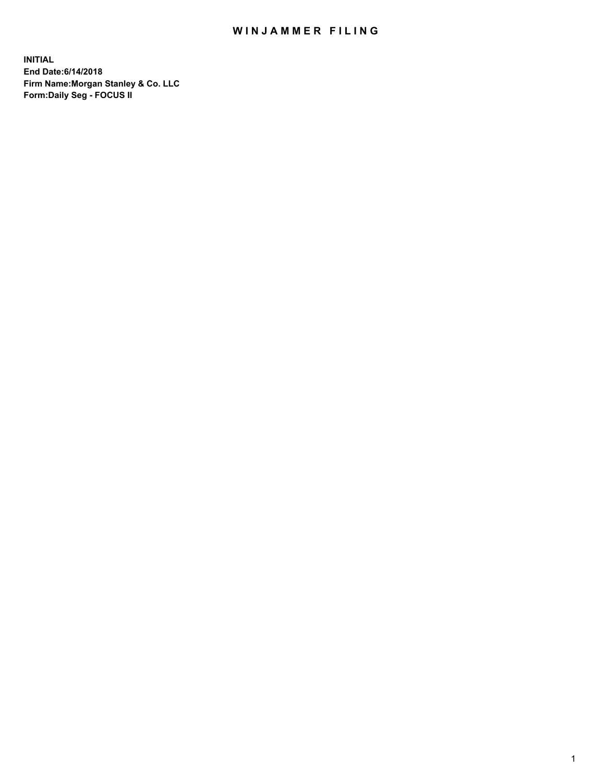## WIN JAMMER FILING

**INITIAL End Date:6/14/2018 Firm Name:Morgan Stanley & Co. LLC Form:Daily Seg - FOCUS II**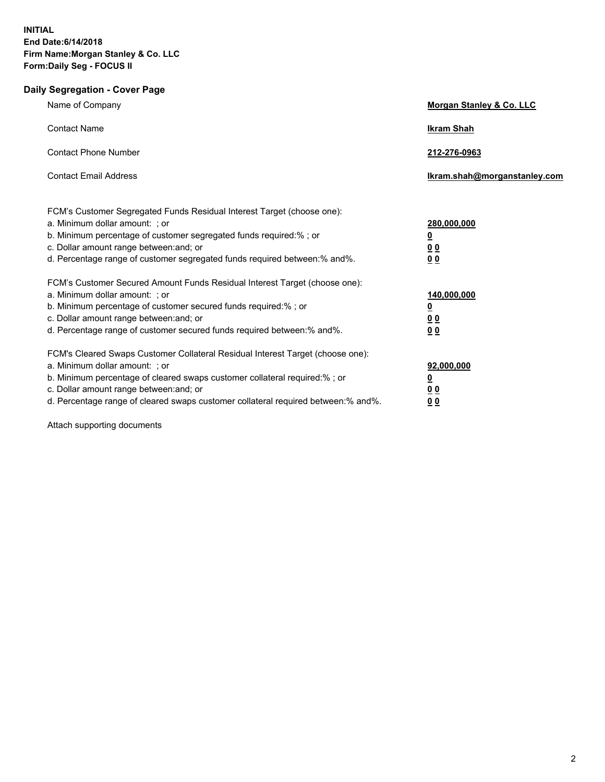## **Daily Segregation - Cover Page**

| Name of Company                                                                                                                                                                                                                                                                                                                | Morgan Stanley & Co. LLC                                             |
|--------------------------------------------------------------------------------------------------------------------------------------------------------------------------------------------------------------------------------------------------------------------------------------------------------------------------------|----------------------------------------------------------------------|
| <b>Contact Name</b>                                                                                                                                                                                                                                                                                                            | <b>Ikram Shah</b>                                                    |
| <b>Contact Phone Number</b>                                                                                                                                                                                                                                                                                                    | 212-276-0963                                                         |
| <b>Contact Email Address</b>                                                                                                                                                                                                                                                                                                   | Ikram.shah@morganstanley.com                                         |
| FCM's Customer Segregated Funds Residual Interest Target (choose one):<br>a. Minimum dollar amount: ; or<br>b. Minimum percentage of customer segregated funds required:% ; or<br>c. Dollar amount range between: and; or<br>d. Percentage range of customer segregated funds required between:% and%.                         | 280,000,000<br><u>0</u><br>0 <sub>0</sub><br>0 <sub>0</sub>          |
| FCM's Customer Secured Amount Funds Residual Interest Target (choose one):<br>a. Minimum dollar amount: ; or<br>b. Minimum percentage of customer secured funds required:%; or<br>c. Dollar amount range between: and; or<br>d. Percentage range of customer secured funds required between: % and %.                          | 140,000,000<br><u>0</u><br>0 <sub>0</sub><br>0 <sub>0</sub>          |
| FCM's Cleared Swaps Customer Collateral Residual Interest Target (choose one):<br>a. Minimum dollar amount: ; or<br>b. Minimum percentage of cleared swaps customer collateral required:% ; or<br>c. Dollar amount range between: and; or<br>d. Percentage range of cleared swaps customer collateral required between:% and%. | 92,000,000<br>$\overline{\mathbf{0}}$<br><u>00</u><br>0 <sub>0</sub> |

Attach supporting documents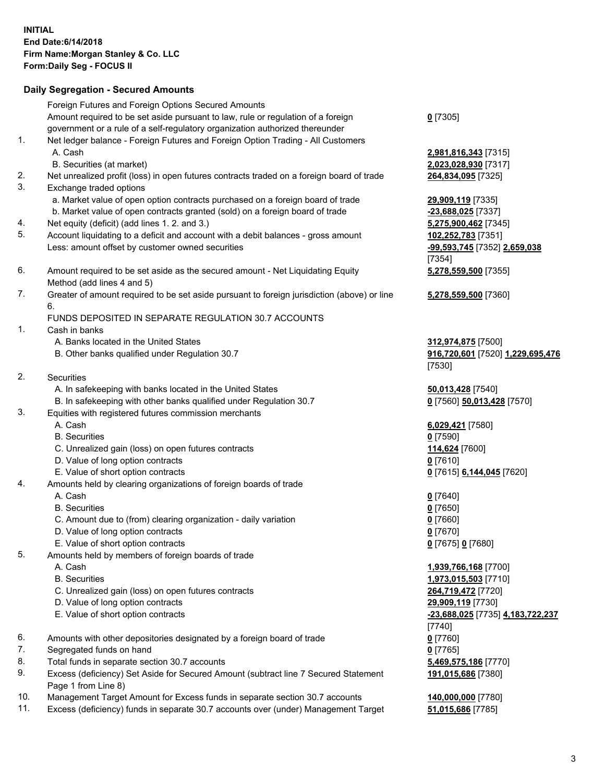## **Daily Segregation - Secured Amounts**

|     | Foreign Futures and Foreign Options Secured Amounts                                         |                                  |
|-----|---------------------------------------------------------------------------------------------|----------------------------------|
|     | Amount required to be set aside pursuant to law, rule or regulation of a foreign            | $0$ [7305]                       |
|     | government or a rule of a self-regulatory organization authorized thereunder                |                                  |
| 1.  | Net ledger balance - Foreign Futures and Foreign Option Trading - All Customers             |                                  |
|     | A. Cash                                                                                     | 2,981,816,343 [7315]             |
|     | B. Securities (at market)                                                                   | 2,023,028,930 [7317]             |
| 2.  | Net unrealized profit (loss) in open futures contracts traded on a foreign board of trade   | 264,834,095 [7325]               |
| 3.  | Exchange traded options                                                                     |                                  |
|     | a. Market value of open option contracts purchased on a foreign board of trade              | 29,909,119 [7335]                |
|     | b. Market value of open contracts granted (sold) on a foreign board of trade                | -23,688,025 [7337]               |
| 4.  | Net equity (deficit) (add lines 1.2. and 3.)                                                | 5,275,900,462 [7345]             |
| 5.  | Account liquidating to a deficit and account with a debit balances - gross amount           | 102,252,783 [7351]               |
|     | Less: amount offset by customer owned securities                                            | -99,593,745 [7352] 2,659,038     |
|     |                                                                                             | [7354]                           |
| 6.  | Amount required to be set aside as the secured amount - Net Liquidating Equity              | 5,278,559,500 [7355]             |
|     | Method (add lines 4 and 5)                                                                  |                                  |
| 7.  | Greater of amount required to be set aside pursuant to foreign jurisdiction (above) or line | 5,278,559,500 [7360]             |
|     | 6.                                                                                          |                                  |
|     | FUNDS DEPOSITED IN SEPARATE REGULATION 30.7 ACCOUNTS                                        |                                  |
| 1.  | Cash in banks                                                                               |                                  |
|     | A. Banks located in the United States                                                       | 312,974,875 [7500]               |
|     | B. Other banks qualified under Regulation 30.7                                              | 916,720,601 [7520] 1,229,695,476 |
|     |                                                                                             | [7530]                           |
| 2.  | Securities                                                                                  |                                  |
|     | A. In safekeeping with banks located in the United States                                   | 50,013,428 [7540]                |
|     | B. In safekeeping with other banks qualified under Regulation 30.7                          | 0 [7560] 50,013,428 [7570]       |
| 3.  | Equities with registered futures commission merchants                                       |                                  |
|     | A. Cash                                                                                     |                                  |
|     | <b>B.</b> Securities                                                                        | 6,029,421 [7580]                 |
|     |                                                                                             | $0$ [7590]                       |
|     | C. Unrealized gain (loss) on open futures contracts                                         | 114,624 [7600]                   |
|     | D. Value of long option contracts<br>E. Value of short option contracts                     | $0$ [7610]                       |
| 4.  |                                                                                             | 0 [7615] 6,144,045 [7620]        |
|     | Amounts held by clearing organizations of foreign boards of trade                           |                                  |
|     | A. Cash                                                                                     | $0$ [7640]                       |
|     | <b>B.</b> Securities                                                                        | $0$ [7650]                       |
|     | C. Amount due to (from) clearing organization - daily variation                             | $0$ [7660]                       |
|     | D. Value of long option contracts                                                           | $0$ [7670]                       |
|     | E. Value of short option contracts                                                          | 0 [7675] 0 [7680]                |
| 5.  | Amounts held by members of foreign boards of trade                                          |                                  |
|     | A. Cash                                                                                     | 1,939,766,168 [7700]             |
|     | <b>B.</b> Securities                                                                        | 1,973,015,503 [7710]             |
|     | C. Unrealized gain (loss) on open futures contracts                                         | 264,719,472 [7720]               |
|     | D. Value of long option contracts                                                           | 29,909,119 [7730]                |
|     | E. Value of short option contracts                                                          | -23,688,025 [7735] 4,183,722,237 |
|     |                                                                                             | $[7740]$                         |
| 6.  | Amounts with other depositories designated by a foreign board of trade                      | $0$ [7760]                       |
| 7.  | Segregated funds on hand                                                                    | $0$ [7765]                       |
| 8.  | Total funds in separate section 30.7 accounts                                               | 5,469,575,186 [7770]             |
| 9.  | Excess (deficiency) Set Aside for Secured Amount (subtract line 7 Secured Statement         | 191,015,686 [7380]               |
|     | Page 1 from Line 8)                                                                         |                                  |
| 10. | Management Target Amount for Excess funds in separate section 30.7 accounts                 | 140,000,000 [7780]               |
| 11. | Excess (deficiency) funds in separate 30.7 accounts over (under) Management Target          | 51,015,686 [7785]                |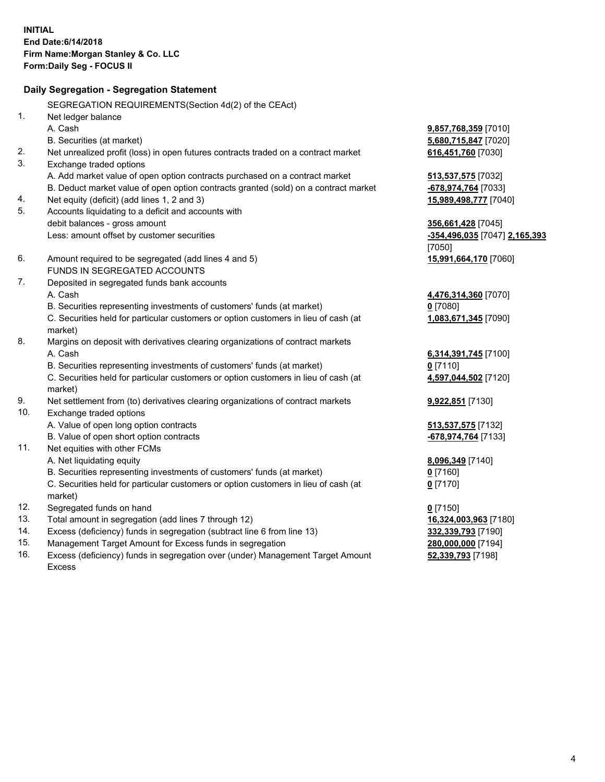|     | Daily Segregation - Segregation Statement                                           |                               |
|-----|-------------------------------------------------------------------------------------|-------------------------------|
|     | SEGREGATION REQUIREMENTS(Section 4d(2) of the CEAct)                                |                               |
| 1.  | Net ledger balance                                                                  |                               |
|     | A. Cash                                                                             | 9,857,768,359 [7010]          |
|     | B. Securities (at market)                                                           | 5,680,715,847 [7020]          |
| 2.  | Net unrealized profit (loss) in open futures contracts traded on a contract market  | 616,451,760 [7030]            |
| 3.  | Exchange traded options                                                             |                               |
|     | A. Add market value of open option contracts purchased on a contract market         | 513,537,575 [7032]            |
|     | B. Deduct market value of open option contracts granted (sold) on a contract market | -678,974,764 [7033]           |
| 4.  | Net equity (deficit) (add lines 1, 2 and 3)                                         | 15,989,498,777 [7040]         |
| 5.  | Accounts liquidating to a deficit and accounts with                                 |                               |
|     | debit balances - gross amount                                                       | 356,661,428 [7045]            |
|     | Less: amount offset by customer securities                                          | -354,496,035 [7047] 2,165,393 |
|     |                                                                                     | [7050]                        |
| 6.  | Amount required to be segregated (add lines 4 and 5)                                | 15,991,664,170 [7060]         |
|     | FUNDS IN SEGREGATED ACCOUNTS                                                        |                               |
| 7.  | Deposited in segregated funds bank accounts                                         |                               |
|     | A. Cash                                                                             | 4,476,314,360 [7070]          |
|     | B. Securities representing investments of customers' funds (at market)              | $0$ [7080]                    |
|     | C. Securities held for particular customers or option customers in lieu of cash (at | 1,083,671,345 [7090]          |
|     | market)                                                                             |                               |
| 8.  | Margins on deposit with derivatives clearing organizations of contract markets      |                               |
|     | A. Cash                                                                             | 6,314,391,745 [7100]          |
|     | B. Securities representing investments of customers' funds (at market)              | $0$ [7110]                    |
|     | C. Securities held for particular customers or option customers in lieu of cash (at | 4,597,044,502 [7120]          |
|     | market)                                                                             |                               |
| 9.  | Net settlement from (to) derivatives clearing organizations of contract markets     | 9,922,851 [7130]              |
| 10. | Exchange traded options                                                             |                               |
|     | A. Value of open long option contracts                                              | 513,537,575 [7132]            |
|     | B. Value of open short option contracts                                             | -678,974,764 [7133]           |
| 11. | Net equities with other FCMs                                                        |                               |
|     | A. Net liquidating equity                                                           | 8,096,349 [7140]              |
|     | B. Securities representing investments of customers' funds (at market)              | $0$ [7160]                    |
|     | C. Securities held for particular customers or option customers in lieu of cash (at | $0$ [7170]                    |
|     | market)                                                                             |                               |
| 12. | Segregated funds on hand                                                            | $0$ [7150]                    |
| 13. | Total amount in segregation (add lines 7 through 12)                                | 16,324,003,963 [7180]         |
| 14. | Excess (deficiency) funds in segregation (subtract line 6 from line 13)             | 332,339,793 [7190]            |
| 15. | Management Target Amount for Excess funds in segregation                            | 280,000,000 [7194]            |
| 16. | Excess (deficiency) funds in segregation over (under) Management Target Amount      | 52,339,793 [7198]             |

16. Excess (deficiency) funds in segregation over (under) Management Target Amount Excess